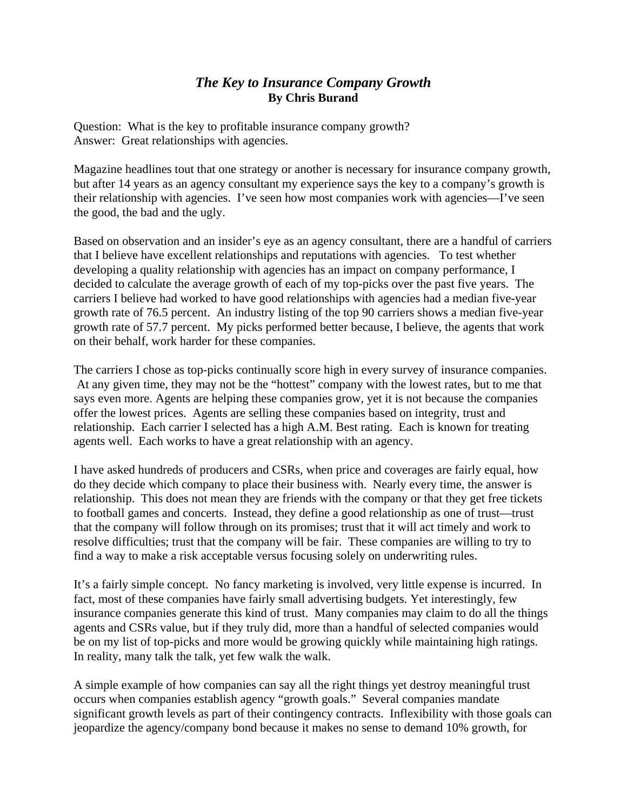## *The Key to Insurance Company Growth*  **By Chris Burand**

Question: What is the key to profitable insurance company growth? Answer: Great relationships with agencies.

Magazine headlines tout that one strategy or another is necessary for insurance company growth, but after 14 years as an agency consultant my experience says the key to a company's growth is their relationship with agencies. I've seen how most companies work with agencies—I've seen the good, the bad and the ugly.

Based on observation and an insider's eye as an agency consultant, there are a handful of carriers that I believe have excellent relationships and reputations with agencies. To test whether developing a quality relationship with agencies has an impact on company performance, I decided to calculate the average growth of each of my top-picks over the past five years. The carriers I believe had worked to have good relationships with agencies had a median five-year growth rate of 76.5 percent. An industry listing of the top 90 carriers shows a median five-year growth rate of 57.7 percent. My picks performed better because, I believe, the agents that work on their behalf, work harder for these companies.

The carriers I chose as top-picks continually score high in every survey of insurance companies. At any given time, they may not be the "hottest" company with the lowest rates, but to me that says even more. Agents are helping these companies grow, yet it is not because the companies offer the lowest prices. Agents are selling these companies based on integrity, trust and relationship. Each carrier I selected has a high A.M. Best rating. Each is known for treating agents well. Each works to have a great relationship with an agency.

I have asked hundreds of producers and CSRs, when price and coverages are fairly equal, how do they decide which company to place their business with. Nearly every time, the answer is relationship. This does not mean they are friends with the company or that they get free tickets to football games and concerts. Instead, they define a good relationship as one of trust—trust that the company will follow through on its promises; trust that it will act timely and work to resolve difficulties; trust that the company will be fair. These companies are willing to try to find a way to make a risk acceptable versus focusing solely on underwriting rules.

It's a fairly simple concept. No fancy marketing is involved, very little expense is incurred. In fact, most of these companies have fairly small advertising budgets. Yet interestingly, few insurance companies generate this kind of trust. Many companies may claim to do all the things agents and CSRs value, but if they truly did, more than a handful of selected companies would be on my list of top-picks and more would be growing quickly while maintaining high ratings. In reality, many talk the talk, yet few walk the walk.

A simple example of how companies can say all the right things yet destroy meaningful trust occurs when companies establish agency "growth goals." Several companies mandate significant growth levels as part of their contingency contracts. Inflexibility with those goals can jeopardize the agency/company bond because it makes no sense to demand 10% growth, for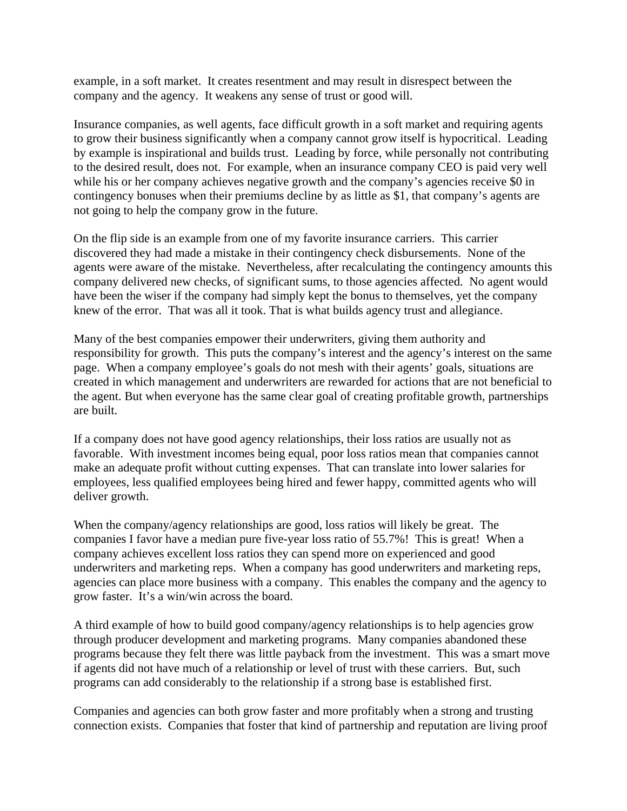example, in a soft market. It creates resentment and may result in disrespect between the company and the agency. It weakens any sense of trust or good will.

Insurance companies, as well agents, face difficult growth in a soft market and requiring agents to grow their business significantly when a company cannot grow itself is hypocritical. Leading by example is inspirational and builds trust. Leading by force, while personally not contributing to the desired result, does not. For example, when an insurance company CEO is paid very well while his or her company achieves negative growth and the company's agencies receive \$0 in contingency bonuses when their premiums decline by as little as \$1, that company's agents are not going to help the company grow in the future.

On the flip side is an example from one of my favorite insurance carriers. This carrier discovered they had made a mistake in their contingency check disbursements. None of the agents were aware of the mistake. Nevertheless, after recalculating the contingency amounts this company delivered new checks, of significant sums, to those agencies affected. No agent would have been the wiser if the company had simply kept the bonus to themselves, yet the company knew of the error. That was all it took. That is what builds agency trust and allegiance.

Many of the best companies empower their underwriters, giving them authority and responsibility for growth. This puts the company's interest and the agency's interest on the same page. When a company employee's goals do not mesh with their agents' goals, situations are created in which management and underwriters are rewarded for actions that are not beneficial to the agent. But when everyone has the same clear goal of creating profitable growth, partnerships are built.

If a company does not have good agency relationships, their loss ratios are usually not as favorable. With investment incomes being equal, poor loss ratios mean that companies cannot make an adequate profit without cutting expenses. That can translate into lower salaries for employees, less qualified employees being hired and fewer happy, committed agents who will deliver growth.

When the company/agency relationships are good, loss ratios will likely be great. The companies I favor have a median pure five-year loss ratio of 55.7%! This is great! When a company achieves excellent loss ratios they can spend more on experienced and good underwriters and marketing reps. When a company has good underwriters and marketing reps, agencies can place more business with a company. This enables the company and the agency to grow faster. It's a win/win across the board.

A third example of how to build good company/agency relationships is to help agencies grow through producer development and marketing programs. Many companies abandoned these programs because they felt there was little payback from the investment. This was a smart move if agents did not have much of a relationship or level of trust with these carriers. But, such programs can add considerably to the relationship if a strong base is established first.

Companies and agencies can both grow faster and more profitably when a strong and trusting connection exists. Companies that foster that kind of partnership and reputation are living proof